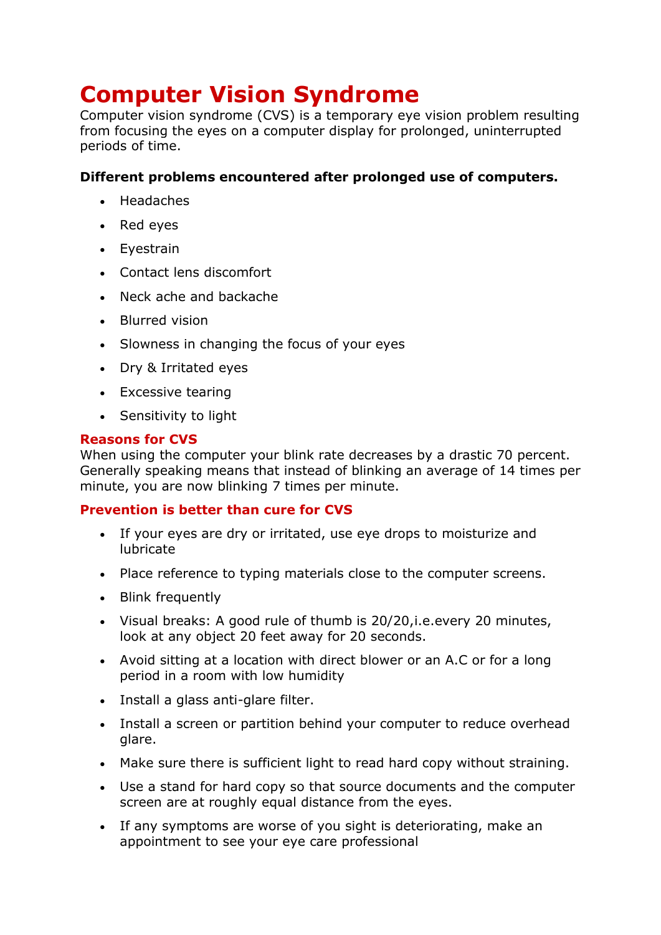## **Computer Vision Syndrome**

Computer vision syndrome (CVS) is a temporary eye vision problem resulting from focusing the eyes on a computer display for prolonged, uninterrupted periods of time.

## **Different problems encountered after prolonged use of computers.**

- Headaches
- Red eyes
- Eyestrain
- Contact lens discomfort
- Neck ache and backache
- Blurred vision
- Slowness in changing the focus of your eyes
- Dry & Irritated eyes
- Excessive tearing
- Sensitivity to light

## **Reasons for CVS**

When using the computer your blink rate decreases by a drastic 70 percent. Generally speaking means that instead of blinking an average of 14 times per minute, you are now blinking 7 times per minute.

## **Prevention is better than cure for CVS**

- If your eyes are dry or irritated, use eye drops to moisturize and lubricate
- Place reference to typing materials close to the computer screens.
- Blink frequently
- Visual breaks: A good rule of thumb is 20/20,i.e.every 20 minutes, look at any object 20 feet away for 20 seconds.
- Avoid sitting at a location with direct blower or an A.C or for a long period in a room with low humidity
- Install a glass anti-glare filter.
- Install a screen or partition behind your computer to reduce overhead glare.
- Make sure there is sufficient light to read hard copy without straining.
- Use a stand for hard copy so that source documents and the computer screen are at roughly equal distance from the eyes.
- If any symptoms are worse of you sight is deteriorating, make an appointment to see your eye care professional